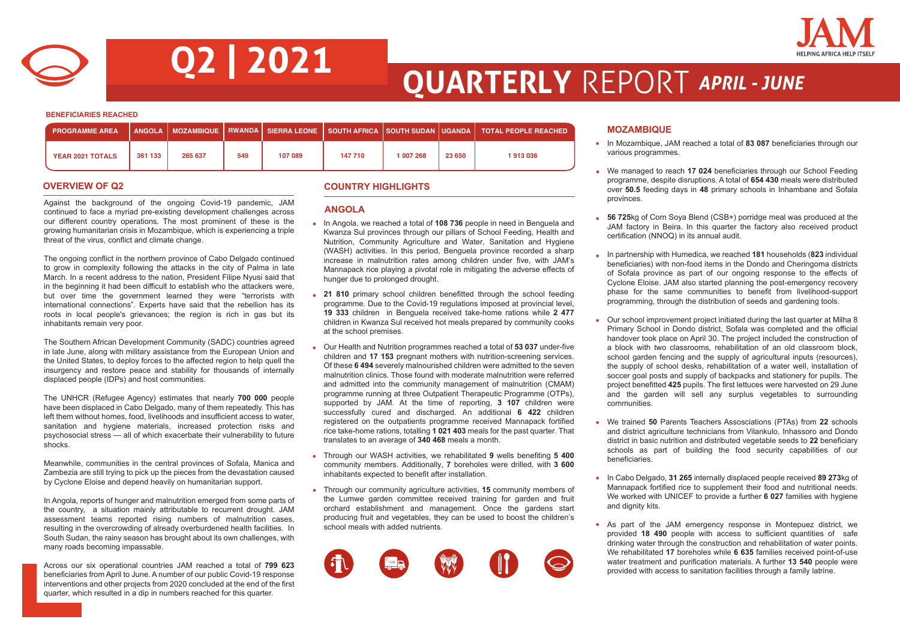



## **Q2 | 2021 QUARTERLY** REPORT *APRIL - JUNE*

**BENEFICIARIES REACHED**

| <b>PROGRAMME AREA</b>   |         |         |     |         |         |           |        | ່ ANGOLA ∣MOZAMBIQUE ∣RWANDA ∣SIERRA LEONE ∣SOUTH AFRICA ∣SOUTH SUDAN ∣UGANDA ∣ TOTAL PEOPLE REACHED |
|-------------------------|---------|---------|-----|---------|---------|-----------|--------|------------------------------------------------------------------------------------------------------|
| <b>YEAR 2021 TOTALS</b> | 361 133 | 265 637 | 549 | 107 089 | 147 710 | 1 007 268 | 23 650 | 1913036                                                                                              |

Against the background of the ongoing Covid-19 pandemic, JAM continued to face a myriad pre-existing development challenges across our different country operations. The most prominent of these is the growing humanitarian crisis in Mozambique, which is experiencing a triple threat of the virus, conflict and climate change.

The ongoing conflict in the northern province of Cabo Delgado continued to grow in complexity following the attacks in the city of Palma in late March. In a recent address to the nation, President Filipe Nyusi said that in the beginning it had been difficult to establish who the attackers were, but over time the government learned they were "terrorists with international connections". Experts have said that the rebellion has its roots in local people's grievances; the region is rich in gas but its inhabitants remain very poor.

The Southern African Development Community (SADC) countries agreed in late June, along with military assistance from the European Union and the United States, to deploy forces to the affected region to help quell the insurgency and restore peace and stability for thousands of internally displaced people (IDPs) and host communities.

The UNHCR (Refugee Agency) estimates that nearly **700 000** people have been displaced in Cabo Delgado, many of them repeatedly. This has left them without homes, food, livelihoods and insufficient access to water, sanitation and hygiene materials, increased protection risks and psychosocial stress — all of which exacerbate their vulnerability to future shocks.

Meanwhile, communities in the central provinces of Sofala, Manica and Zambezia are still trying to pick up the pieces from the devastation caused by Cyclone Eloise and depend heavily on humanitarian support.

In Angola, reports of hunger and malnutrition emerged from some parts of the country, a situation mainly attributable to recurrent drought. JAM assessment teams reported rising numbers of malnutrition cases, resulting in the overcrowding of already overburdened health facilities. In South Sudan, the rainy season has brought about its own challenges, with many roads becoming impassable.

Across our six operational countries JAM reached a total of **799 623**  beneficiaries from April to June. A number of our public Covid-19 response interventions and other projects from 2020 concluded at the end of the first quarter, which resulted in a dip in numbers reached for this quarter.

### **OVERVIEW OF Q2 COUNTRY HIGHLIGHTS**

#### **ANGOLA**

- In Angola, we reached a total of **108 736** people in need in Benguela and Kwanza Sul provinces through our pillars of School Feeding, Health and Nutrition, Community Agriculture and Water, Sanitation and Hygiene (WASH) activities. In this period, Benguela province recorded a sharp increase in malnutrition rates among children under five, with JAM's Mannapack rice playing a pivotal role in mitigating the adverse effects of hunger due to prolonged drought.
- **21 810** primary school children benefitted through the school feeding programme. Due to the Covid-19 regulations imposed at provincial level, **19 333** children in Benguela received take-home rations while **2 477**  children in Kwanza Sul received hot meals prepared by community cooks at the school premises.
- Our Health and Nutrition programmes reached a total of **53 037** under-five children and **17 153** pregnant mothers with nutrition-screening services. Of these **6 494** severely malnourished children were admitted to the seven malnutrition clinics. Those found with moderate malnutrition were referred and admitted into the community management of malnutrition (CMAM) programme running at three Outpatient Therapeutic Programme (OTPs), supported by JAM. At the time of reporting, **3 107** children were successfully cured and discharged. An additional **6 422** children registered on the outpatients programme received Mannapack fortified rice take-home rations, totalling **1 021 403** meals for the past quarter. That translates to an average of **340 468** meals a month.
- Through our WASH activities, we rehabilitated **9** wells benefiting **5 400**  community members. Additionally, **7** boreholes were drilled, with **3 600**  inhabitants expected to benefit after installation.
- Through our community agriculture activities, **15** community members of the Lumwe garden committee received training for garden and fruit orchard establishment and management. Once the gardens start producing fruit and vegetables, they can be used to boost the children's school meals with added nutrients.



#### **MOZAMBIQUE**

- In Mozambique, JAM reached a total of **83 087** beneficiaries through our various programmes.
- We managed to reach **17 024** beneficiaries through our School Feeding programme, despite disruptions. A total of **654 430** meals were distributed over **50.5** feeding days in **48** primary schools in Inhambane and Sofala provinces.
- **56 725**kg of Corn Soya Blend (CSB+) porridge meal was produced at the JAM factory in Beira. In this quarter the factory also received product certification (NNOQ) in its annual audit.
- In partnership with Humedica, we reached **181** households (**823** individual beneficiaries) with non-food items in the Dondo and Cheringoma districts of Sofala province as part of our ongoing response to the effects of Cyclone Eloise. JAM also started planning the post-emergency recovery phase for the same communities to benefit from livelihood-support programming, through the distribution of seeds and gardening tools.
- Our school improvement project initiated during the last quarter at Milha 8 Primary School in Dondo district, Sofala was completed and the official handover took place on April 30. The project included the construction of a block with two classrooms, rehabilitation of an old classroom block, school garden fencing and the supply of agricultural inputs (resources), the supply of school desks, rehabilitation of a water well, installation of soccer goal posts and supply of backpacks and stationery for pupils. The project benefitted **425** pupils. The first lettuces were harvested on 29 June and the garden will sell any surplus vegetables to surrounding communities.
- We trained **50** Parents Teachers Assosciations (PTAs) from **22** schools and district agriculture technicians from Vilankulo, Inhassoro and Dondo district in basic nutrition and distributed vegetable seeds to **22** beneficiary schools as part of building the food security capabilities of our beneficiaries.
- In Cabo Delgado, **31 265** internally displaced people received **89 273**kg of Mannapack fortified rice to supplement their food and nutritional needs. We worked with UNICEF to provide a further **6 027** families with hygiene and dignity kits.
- As part of the JAM emergency response in Montepuez district, we provided **18 490** people with access to sufficient quantities of safe drinking water through the construction and rehabilitation of water points. We rehabilitated **17** boreholes while **6 635** families received point-of-use water treatment and purification materials. A further **13 540** people were provided with access to sanitation facilities through a family latrine.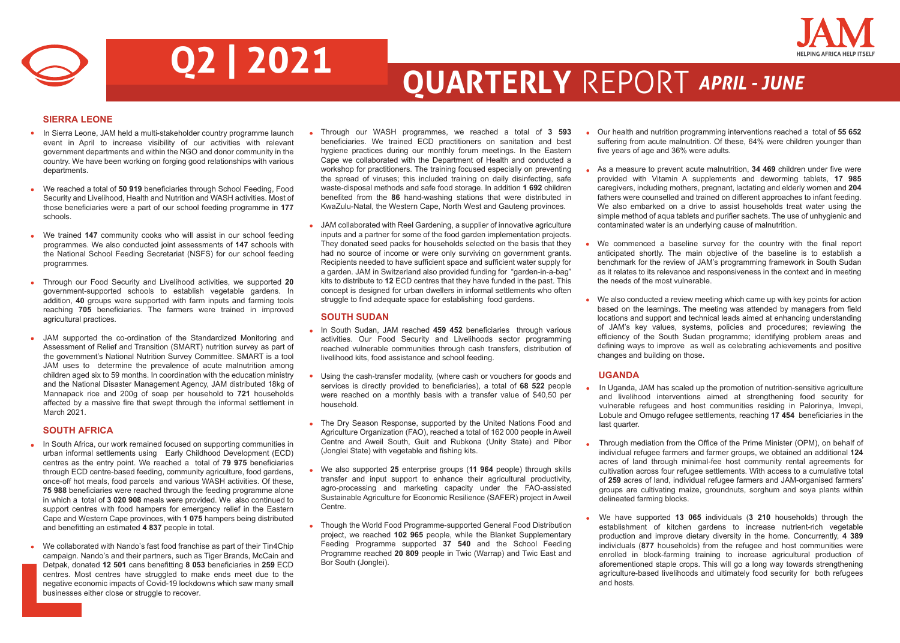

# **Q2 | 2021 QUARTERLY** REPORT *APRIL - JUNE*

### **SIERRA LEONE**

- In Sierra Leone, JAM held a multi-stakeholder country programme launch event in April to increase visibility of our activities with relevant government departments and within the NGO and donor community in the country. We have been working on forging good relationships with various departments.
- We reached a total of **50 919** beneficiaries through School Feeding, Food  $\bullet$ Security and Livelihood, Health and Nutrition and WASH activities. Most of those beneficiaries were a part of our school feeding programme in **177** schools.
- We trained **147** community cooks who will assist in our school feeding programmes. We also conducted joint assessments of **147** schools with the National School Feeding Secretariat (NSFS) for our school feeding programmes.
- Through our Food Security and Livelihood activities, we supported **20** government-supported schools to establish vegetable gardens. In addition, **40** groups were supported with farm inputs and farming tools reaching **705** beneficiaries. The farmers were trained in improved agricultural practices.
- $\bullet$ JAM supported the co-ordination of the Standardized Monitoring and Assessment of Relief and Transition (SMART) nutrition survey as part of the government's National Nutrition Survey Committee. SMART is a tool JAM uses to determine the prevalence of acute malnutrition among children aged six to 59 months. In coordination with the education ministry and the National Disaster Management Agency, JAM distributed 18kg of Mannapack rice and 200g of soap per household to **721** households affected by a massive fire that swept through the informal settlement in March 2021.

### **SOUTH AFRICA**

- In South Africa, our work remained focused on supporting communities in urban informal settlements using Early Childhood Development (ECD) centres as the entry point. We reached a total of **79 975** beneficiaries through ECD centre-based feeding, community agriculture, food gardens, once-off hot meals, food parcels and various WASH activities. Of these, **75 988** beneficiaries were reached through the feeding programme alone in which a total of **3 020 908** meals were provided. We also continued to support centres with food hampers for emergency relief in the Eastern Cape and Western Cape provinces, with **1 075** hampers being distributed and benefitting an estimated **4 837** people in total.
- We collaborated with Nando's fast food franchise as part of their Tin4Chip campaign. Nando's and their partners, such as Tiger Brands, McCain and Detpak, donated **12 501** cans benefitting **8 053** beneficiaries in **259** ECD centres. Most centres have struggled to make ends meet due to the negative economic impacts of Covid-19 lockdowns which saw many small businesses either close or struggle to recover.
- Through our WASH programmes, we reached a total of **3 593**  beneficiaries. We trained ECD practitioners on sanitation and best hygiene practices during our monthly forum meetings. In the Eastern Cape we collaborated with the Department of Health and conducted a workshop for practitioners. The training focused especially on preventing the spread of viruses; this included training on daily disinfecting, safe waste-disposal methods and safe food storage. In addition **1 692** children benefited from the **86** hand-washing stations that were distributed in KwaZulu-Natal, the Western Cape, North West and Gauteng provinces.
- JAM collaborated with Reel Gardening, a supplier of innovative agriculture inputs and a partner for some of the food garden implementation projects. They donated seed packs for households selected on the basis that they had no source of income or were only surviving on government grants. Recipients needed to have sufficient space and sufficient water supply for a garden. JAM in Switzerland also provided funding for "garden-in-a-bag" kits to distribute to **12** ECD centres that they have funded in the past. This concept is designed for urban dwellers in informal settlements who often struggle to find adequate space for establishing food gardens.

#### **SOUTH SUDAN**

- In South Sudan, JAM reached 459 452 beneficiaries through various activities. Our Food Security and Livelihoods sector programming reached vulnerable communities through cash transfers, distribution of livelihood kits, food assistance and school feeding.
- Using the cash-transfer modality, (where cash or vouchers for goods and services is directly provided to beneficiaries), a total of **68 522** people were reached on a monthly basis with a transfer value of \$40,50 per household.
- The Dry Season Response, supported by the United Nations Food and Agriculture Organization (FAO), reached a total of 162 000 people in Aweil Centre and Aweil South, Guit and Rubkona (Unity State) and Pibor (Jonglei State) with vegetable and fishing kits.
- We also supported **25** enterprise groups (**11 964** people) through skills transfer and input support to enhance their agricultural productivity, agro-processing and marketing capacity under the FAO-assisted Sustainable Agriculture for Economic Resilience (SAFER) project in Aweil Centre.
- Though the World Food Programme-supported General Food Distribution project, we reached **102 965** people, while the Blanket Supplementary Feeding Programme supported **37 540** and the School Feeding Programme reached **20 809** people in Twic (Warrap) and Twic East and Bor South (Jonglei).
- Our health and nutrition programming interventions reached a total of **55 652** suffering from acute malnutrition. Of these, 64% were children younger than five years of age and 36% were adults.
- As a measure to prevent acute malnutrition, **34 469** children under five were provided with Vitamin A supplements and deworming tablets, **17 985**  caregivers, including mothers, pregnant, lactating and elderly women and **204** fathers were counselled and trained on different approaches to infant feeding. We also embarked on a drive to assist households treat water using the simple method of aqua tablets and purifier sachets. The use of unhygienic and contaminated water is an underlying cause of malnutrition.
- We commenced a baseline survey for the country with the final report anticipated shortly. The main objective of the baseline is to establish a benchmark for the review of JAM's programming framework in South Sudan as it relates to its relevance and responsiveness in the context and in meeting the needs of the most vulnerable.
- We also conducted a review meeting which came up with key points for action based on the learnings. The meeting was attended by managers from field locations and support and technical leads aimed at enhancing understanding of JAM's key values, systems, policies and procedures; reviewing the efficiency of the South Sudan programme; identifying problem areas and defining ways to improve as well as celebrating achievements and positive changes and building on those.

### **UGANDA**

- In Uganda, JAM has scaled up the promotion of nutrition-sensitive agriculture and livelihood interventions aimed at strengthening food security for vulnerable refugees and host communities residing in Palorinya, Imvepi, Lobule and Omugo refugee settlements, reaching **17 454** beneficiaries in the last quarter.
- Through mediation from the Office of the Prime Minister (OPM), on behalf of individual refugee farmers and farmer groups, we obtained an additional **124** acres of land through minimal-fee host community rental agreements for cultivation across four refugee settlements. With access to a cumulative total of **259** acres of land, individual refugee farmers and JAM-organised farmers' groups are cultivating maize, groundnuts, sorghum and soya plants within delineated farming blocks.
- We have supported **13 065** individuals (**3 210** households) through the establishment of kitchen gardens to increase nutrient-rich vegetable production and improve dietary diversity in the home. Concurrently, **4 389** individuals (**877** households) from the refugee and host communities were enrolled in block-farming training to increase agricultural production of aforementioned staple crops. This will go a long way towards strengthening agriculture-based livelihoods and ultimately food security for both refugees and hosts.